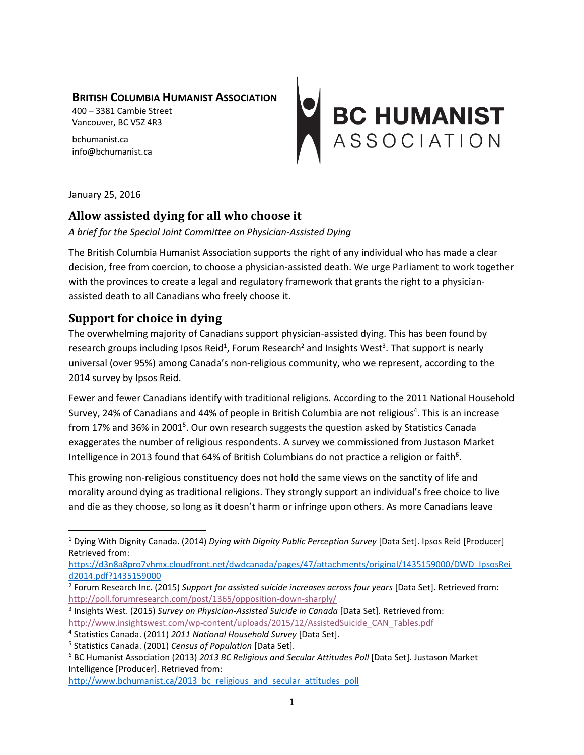#### **BRITISH COLUMBIA HUMANIST ASSOCIATION**

400 – 3381 Cambie Street Vancouver, BC V5Z 4R3

bchumanist.ca info@bchumanist.ca

# BC HUMANIST<br>ASSOCIATION

January 25, 2016

 $\overline{a}$ 

## **Allow assisted dying for all who choose it**

#### *A brief for the Special Joint Committee on Physician-Assisted Dying*

The British Columbia Humanist Association supports the right of any individual who has made a clear decision, free from coercion, to choose a physician-assisted death. We urge Parliament to work together with the provinces to create a legal and regulatory framework that grants the right to a physicianassisted death to all Canadians who freely choose it.

## **Support for choice in dying**

The overwhelming majority of Canadians support physician-assisted dying. This has been found by research groups including Ipsos Reid<sup>1</sup>, Forum Research<sup>2</sup> and Insights West<sup>3</sup>. That support is nearly universal (over 95%) among Canada's non-religious community, who we represent, according to the 2014 survey by Ipsos Reid.

Fewer and fewer Canadians identify with traditional religions. According to the 2011 National Household Survey, 24% of Canadians and 44% of people in British Columbia are not religious<sup>4</sup>. This is an increase from 17% and 36% in 2001<sup>5</sup>. Our own research suggests the question asked by Statistics Canada exaggerates the number of religious respondents. A survey we commissioned from Justason Market Intelligence in 2013 found that 64% of British Columbians do not practice a religion or faith<sup>6</sup>.

This growing non-religious constituency does not hold the same views on the sanctity of life and morality around dying as traditional religions. They strongly support an individual's free choice to live and die as they choose, so long as it doesn't harm or infringe upon others. As more Canadians leave

<sup>1</sup> Dying With Dignity Canada. (2014) *Dying with Dignity Public Perception Survey* [Data Set]. Ipsos Reid [Producer] Retrieved from:

[https://d3n8a8pro7vhmx.cloudfront.net/dwdcanada/pages/47/attachments/original/1435159000/DWD\\_IpsosRei](https://d3n8a8pro7vhmx.cloudfront.net/dwdcanada/pages/47/attachments/original/1435159000/DWD_IpsosReid2014.pdf?1435159000) [d2014.pdf?1435159000](https://d3n8a8pro7vhmx.cloudfront.net/dwdcanada/pages/47/attachments/original/1435159000/DWD_IpsosReid2014.pdf?1435159000)

<sup>2</sup> Forum Research Inc. (2015) *Support for assisted suicide increases across four years* [Data Set]. Retrieved from: <http://poll.forumresearch.com/post/1365/opposition-down-sharply/>

<sup>3</sup> Insights West. (2015) *Survey on Physician-Assisted Suicide in Canada* [Data Set]. Retrieved from: [http://www.insightswest.com/wp-content/uploads/2015/12/AssistedSuicide\\_CAN\\_Tables.pdf](http://www.insightswest.com/wp-content/uploads/2015/12/AssistedSuicide_CAN_Tables.pdf) 

<sup>4</sup> Statistics Canada. (2011) *2011 National Household Survey* [Data Set].

<sup>5</sup> Statistics Canada. (2001) *Census of Population* [Data Set].

<sup>6</sup> BC Humanist Association (2013) *2013 BC Religious and Secular Attitudes Poll* [Data Set]. Justason Market Intelligence [Producer]. Retrieved from:

http://www.bchumanist.ca/2013 bc religious and secular attitudes poll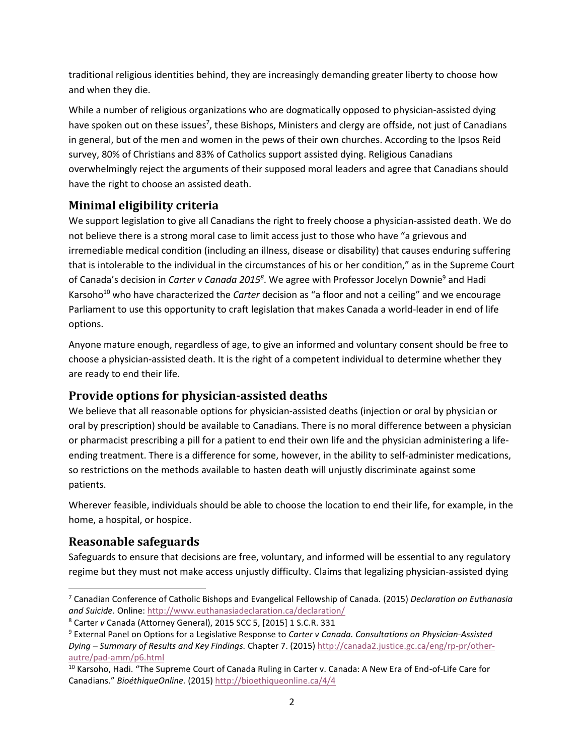traditional religious identities behind, they are increasingly demanding greater liberty to choose how and when they die.

While a number of religious organizations who are dogmatically opposed to physician-assisted dying have spoken out on these issues<sup>7</sup>, these Bishops, Ministers and clergy are offside, not just of Canadians in general, but of the men and women in the pews of their own churches. According to the Ipsos Reid survey, 80% of Christians and 83% of Catholics support assisted dying. Religious Canadians overwhelmingly reject the arguments of their supposed moral leaders and agree that Canadians should have the right to choose an assisted death.

# **Minimal eligibility criteria**

We support legislation to give all Canadians the right to freely choose a physician-assisted death. We do not believe there is a strong moral case to limit access just to those who have "a grievous and irremediable medical condition (including an illness, disease or disability) that causes enduring suffering that is intolerable to the individual in the circumstances of his or her condition," as in the Supreme Court of Canada's decision in *Carter v Canada 2015<sup>8</sup>* . We agree with Professor Jocelyn Downie<sup>9</sup> and Hadi Karsoho<sup>10</sup> who have characterized the *Carter* decision as "a floor and not a ceiling" and we encourage Parliament to use this opportunity to craft legislation that makes Canada a world-leader in end of life options.

Anyone mature enough, regardless of age, to give an informed and voluntary consent should be free to choose a physician-assisted death. It is the right of a competent individual to determine whether they are ready to end their life.

# **Provide options for physician-assisted deaths**

We believe that all reasonable options for physician-assisted deaths (injection or oral by physician or oral by prescription) should be available to Canadians. There is no moral difference between a physician or pharmacist prescribing a pill for a patient to end their own life and the physician administering a lifeending treatment. There is a difference for some, however, in the ability to self-administer medications, so restrictions on the methods available to hasten death will unjustly discriminate against some patients.

Wherever feasible, individuals should be able to choose the location to end their life, for example, in the home, a hospital, or hospice.

# **Reasonable safeguards**

 $\overline{\phantom{a}}$ 

Safeguards to ensure that decisions are free, voluntary, and informed will be essential to any regulatory regime but they must not make access unjustly difficulty. Claims that legalizing physician-assisted dying

<sup>7</sup> Canadian Conference of Catholic Bishops and Evangelical Fellowship of Canada. (2015) *Declaration on Euthanasia and Suicide*. Online: <http://www.euthanasiadeclaration.ca/declaration/>

<sup>8</sup> Carter *v* Canada (Attorney General), 2015 SCC 5, [2015] 1 S.C.R. 331

<sup>9</sup> External Panel on Options for a Legislative Response to *Carter v Canada. Consultations on Physician-Assisted Dying – Summary of Results and Key Findings.* Chapter 7. (2015) [http://canada2.justice.gc.ca/eng/rp-pr/other](http://canada2.justice.gc.ca/eng/rp-pr/other-autre/pad-amm/p6.html)[autre/pad-amm/p6.html](http://canada2.justice.gc.ca/eng/rp-pr/other-autre/pad-amm/p6.html)

<sup>&</sup>lt;sup>10</sup> Karsoho, Hadi. "The Supreme Court of Canada Ruling in Carter v. Canada: A New Era of End-of-Life Care for Canadians." *BioéthiqueOnline.* (2015) <http://bioethiqueonline.ca/4/4>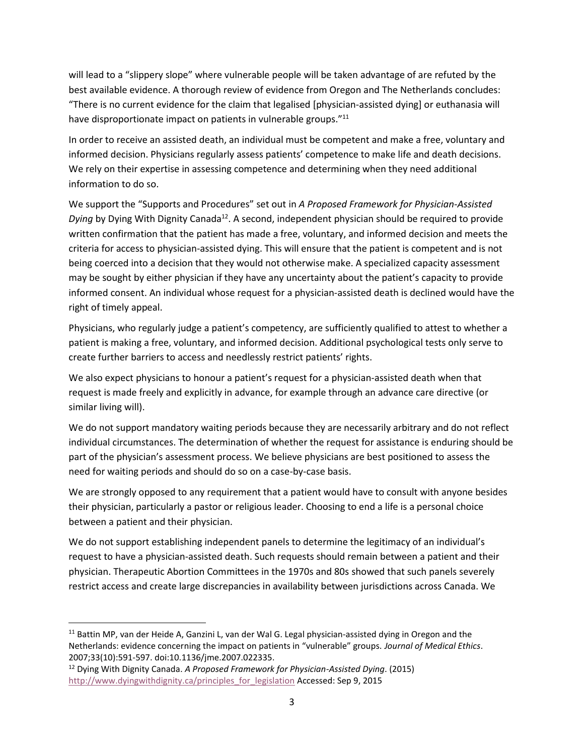will lead to a "slippery slope" where vulnerable people will be taken advantage of are refuted by the best available evidence. A thorough review of evidence from Oregon and The Netherlands concludes: "There is no current evidence for the claim that legalised [physician-assisted dying] or euthanasia will have disproportionate impact on patients in vulnerable groups."<sup>11</sup>

In order to receive an assisted death, an individual must be competent and make a free, voluntary and informed decision. Physicians regularly assess patients' competence to make life and death decisions. We rely on their expertise in assessing competence and determining when they need additional information to do so.

We support the "Supports and Procedures" set out in *A Proposed Framework for Physician-Assisted*  Dying by Dying With Dignity Canada<sup>12</sup>. A second, independent physician should be required to provide written confirmation that the patient has made a free, voluntary, and informed decision and meets the criteria for access to physician-assisted dying. This will ensure that the patient is competent and is not being coerced into a decision that they would not otherwise make. A specialized capacity assessment may be sought by either physician if they have any uncertainty about the patient's capacity to provide informed consent. An individual whose request for a physician-assisted death is declined would have the right of timely appeal.

Physicians, who regularly judge a patient's competency, are sufficiently qualified to attest to whether a patient is making a free, voluntary, and informed decision. Additional psychological tests only serve to create further barriers to access and needlessly restrict patients' rights.

We also expect physicians to honour a patient's request for a physician-assisted death when that request is made freely and explicitly in advance, for example through an advance care directive (or similar living will).

We do not support mandatory waiting periods because they are necessarily arbitrary and do not reflect individual circumstances. The determination of whether the request for assistance is enduring should be part of the physician's assessment process. We believe physicians are best positioned to assess the need for waiting periods and should do so on a case-by-case basis.

We are strongly opposed to any requirement that a patient would have to consult with anyone besides their physician, particularly a pastor or religious leader. Choosing to end a life is a personal choice between a patient and their physician.

We do not support establishing independent panels to determine the legitimacy of an individual's request to have a physician-assisted death. Such requests should remain between a patient and their physician. Therapeutic Abortion Committees in the 1970s and 80s showed that such panels severely restrict access and create large discrepancies in availability between jurisdictions across Canada. We

l

<sup>&</sup>lt;sup>11</sup> Battin MP, van der Heide A, Ganzini L, van der Wal G. Legal physician-assisted dying in Oregon and the Netherlands: evidence concerning the impact on patients in "vulnerable" groups. *Journal of Medical Ethics*. 2007;33(10):591-597. doi:10.1136/jme.2007.022335.

<sup>12</sup> Dying With Dignity Canada. *A Proposed Framework for Physician-Assisted Dying*. (2015) [http://www.dyingwithdignity.ca/principles\\_for\\_legislation](http://www.dyingwithdignity.ca/principles_for_legislation) Accessed: Sep 9, 2015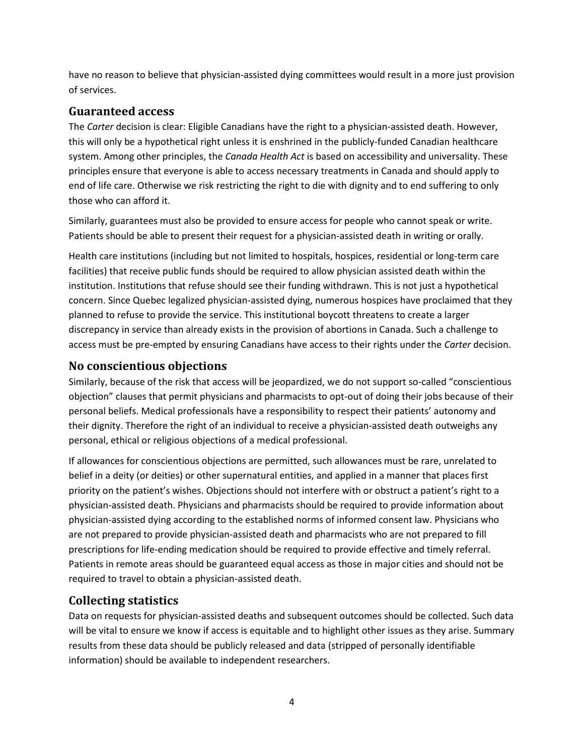have no reason to believe that physician-assisted dying committees would result in a more just provision of services.

#### **Guaranteed access**

The *Carter* decision is clear: Eligible Canadians have the right to a physician-assisted death. However, this will only be a hypothetical right unless it is enshrined in the publicly-funded Canadian healthcare system. Among other principles, the *Canada Health Act* is based on accessibility and universality. These principles ensure that everyone is able to access necessary treatments in Canada and should apply to end of life care. Otherwise we risk restricting the right to die with dignity and to end suffering to only those who can afford it.

Similarly, guarantees must also be provided to ensure access for people who cannot speak or write. Patients should be able to present their request for a physician-assisted death in writing or orally.

Health care institutions (including but not limited to hospitals, hospices, residential or long-term care facilities) that receive public funds should be required to allow physician assisted death within the institution. Institutions that refuse should see their funding withdrawn. This is not just a hypothetical concern. Since Quebec legalized physician-assisted dying, numerous hospices have proclaimed that they planned to refuse to provide the service. This institutional boycott threatens to create a larger discrepancy in service than already exists in the provision of abortions in Canada. Such a challenge to access must be pre-empted by ensuring Canadians have access to their rights under the *Carter* decision.

## **No conscientious objections**

Similarly, because of the risk that access will be jeopardized, we do not support so-called "conscientious objection" clauses that permit physicians and pharmacists to opt-out of doing their jobs because of their personal beliefs. Medical professionals have a responsibility to respect their patients' autonomy and their dignity. Therefore the right of an individual to receive a physician-assisted death outweighs any personal, ethical or religious objections of a medical professional.

If allowances for conscientious objections are permitted, such allowances must be rare, unrelated to belief in a deity (or deities) or other supernatural entities, and applied in a manner that places first priority on the patient's wishes. Objections should not interfere with or obstruct a patient's right to a physician-assisted death. Physicians and pharmacists should be required to provide information about physician-assisted dying according to the established norms of informed consent law. Physicians who are not prepared to provide physician-assisted death and pharmacists who are not prepared to fill prescriptions for life-ending medication should be required to provide effective and timely referral. Patients in remote areas should be guaranteed equal access as those in major cities and should not be required to travel to obtain a physician-assisted death.

## **Collecting statistics**

Data on requests for physician-assisted deaths and subsequent outcomes should be collected. Such data will be vital to ensure we know if access is equitable and to highlight other issues as they arise. Summary results from these data should be publicly released and data (stripped of personally identifiable information) should be available to independent researchers.